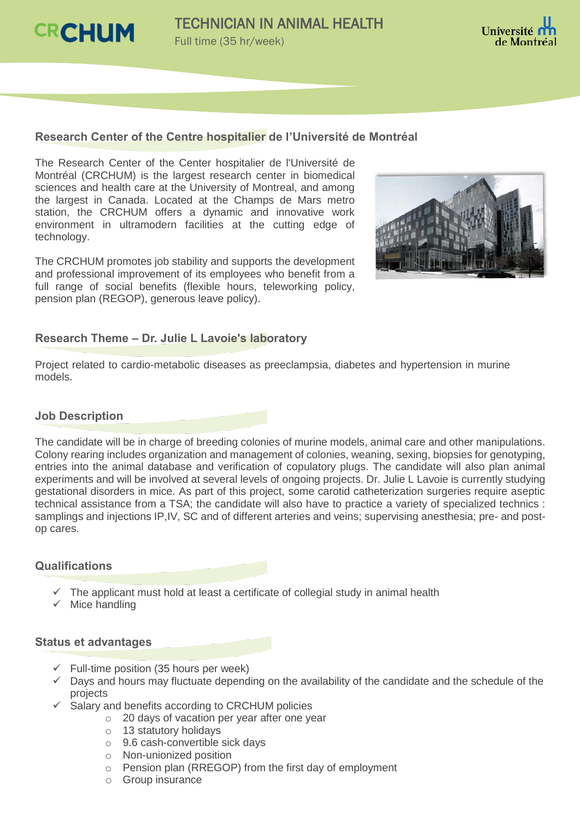



### **Research Center of the Centre hospitalier de l'Université de Montréal**

The Research Center of the Center hospitalier de l'Université de Montréal (CRCHUM) is the largest research center in biomedical sciences and health care at the University of Montreal, and among the largest in Canada. Located at the Champs de Mars metro station, the CRCHUM offers a dynamic and innovative work environment in ultramodern facilities at the cutting edge of technology.

The CRCHUM promotes job stability and supports the development and professional improvement of its employees who benefit from a full range of social benefits (flexible hours, teleworking policy, pension plan (REGOP), generous leave policy).



## **Research Theme – Dr. Julie L Lavoie's laboratory**

Project related to cardio-metabolic diseases as preeclampsia, diabetes and hypertension in murine models.

#### **Job Description**

The candidate will be in charge of breeding colonies of murine models, animal care and other manipulations. Colony rearing includes organization and management of colonies, weaning, sexing, biopsies for genotyping, entries into the animal database and verification of copulatory plugs. The candidate will also plan animal experiments and will be involved at several levels of ongoing projects. Dr. Julie L Lavoie is currently studying gestational disorders in mice. As part of this project, some carotid catheterization surgeries require aseptic technical assistance from a TSA; the candidate will also have to practice a variety of specialized technics : samplings and injections IP,IV, SC and of different arteries and veins; supervising anesthesia; pre- and postop cares.

#### **Qualifications**

- $\checkmark$  The applicant must hold at least a certificate of collegial study in animal health
- $\checkmark$  Mice handling

#### **Status et advantages**

- $\checkmark$  Full-time position (35 hours per week)
- $\checkmark$  Days and hours may fluctuate depending on the availability of the candidate and the schedule of the projects
- $\checkmark$  Salary and benefits according to CRCHUM policies
	- o 20 days of vacation per year after one year
	- o 13 statutory holidays
	- o 9.6 cash-convertible sick days
	- o Non-unionized position
	- o Pension plan (RREGOP) from the first day of employment
	- o Group insurance